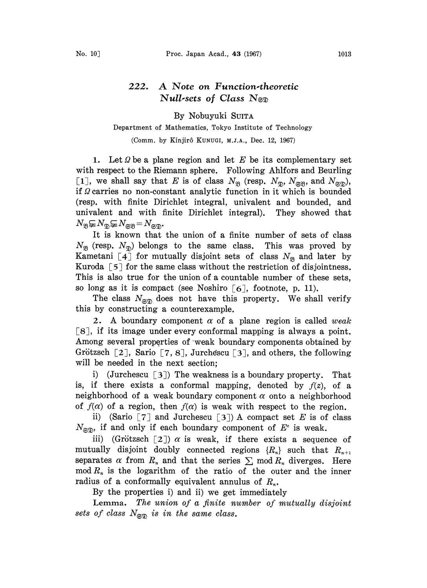## 222. A Note on Function-theoretic Null-sets of Class  $N_{\text{SD}}$

By Nobuyuki SUITA

## Department of Mathematics, Tokyo Institute of Technology

(Comm. by Kinjir6 KUNUGI, M.J.A., Dec. 12, 1967)

1. Let  $\Omega$  be a plane region and let E be its complementary set with respect to the Riemann sphere. Following Ahlfors and Beurling [1], we shall say that E is of class  $N_{\mathfrak{B}}$  (resp.  $N_{\mathfrak{D}}$ ,  $N_{\mathfrak{B}}$ , and  $N_{\mathfrak{B}}$ ), if  $\Omega$  carries no non-constant analytic function in it which is bounded (resp. with finite Dirichlet integral, univalent and bounded, and univalent and with finite Dirichlet integral). They showed that  $N_{\mathfrak{B}}{\subsetneq}N_{\mathfrak{B}}{\subsetneq}N_{\mathfrak{SB}}{=}N_{\mathfrak{S}\mathfrak{B}}.$ 

It is known that the union of a finite number of sets of class  $N_{\mathfrak{B}}$  (resp.  $N_{\mathfrak{D}}$ ) belongs to the same class. This was proved by Kametani [4] for mutually disjoint sets of class  $N_{\mathfrak{B}}$  and later by Kuroda  $\lceil 5 \rceil$  for the same class without the restriction of disjointness. This is also true for the union of a countable number of these sets, so long as it is compact (see Noshiro  $[6]$ , footnote, p. 11).

The class  $N_{\text{exp}}$  does not have this property. We shall verify this by constructing a counterexample.

2. A boundary component  $\alpha$  of a plane region is called weak [8], if its image under every conformal mapping is always a point. Among several properties of weak boundary components obtained by Grötzsch  $[2]$ , Sario  $[7, 8]$ , Jurchescu  $[3]$ , and others, the following will be needed in the next section;

i) (Jurchescu  $\lceil 3 \rceil$ ) The weakness is a boundary property. That is, if there exists a conformal mapping, denoted by  $f(z)$ , of a neighborhood of a weak boundary component  $\alpha$  onto a neighborhood of  $f(\alpha)$  of a region, then  $f(\alpha)$  is weak with respect to the region.

ii) (Sario  $\lceil 7 \rceil$  and Jurchescu  $\lceil 3 \rceil$ ) A compact set E is of class  $N_{\text{exp}}$ , if and only if each boundary component of  $E^c$  is weak.

iii) (Grötzsch [2])  $\alpha$  is weak, if there exists a sequence of mutually disjoint doubly connected regions  $\{R_n\}$  such that  $R_{n+1}$ separates  $\alpha$  from  $R_n$  and that the series  $\sum$  mod  $R_n$  diverges. Here  $\text{mod } R_n$  is the logarithm of the ratio of the outer and the inner radius of a conformally equivalent annulus of  $R_n$ .

By the properties i) and ii) we get immediately

Lemma. The union of a finite number of mutually disjoint sets of class  $N_{\text{exp}}$  is in the same class.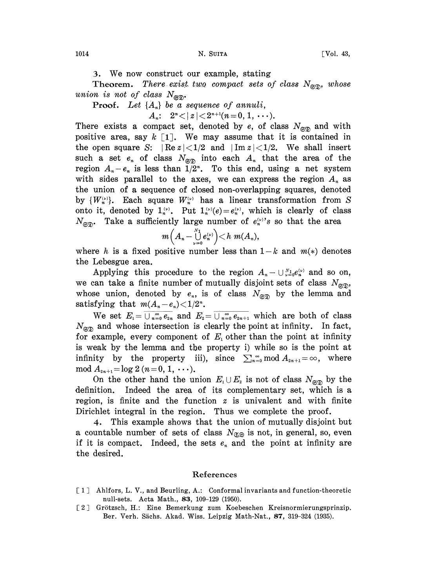3. We now construct our example, stating

Theorem. There exist two compact sets of class  $N_{\text{C}}$ , whose union is not of class  $N_{\text{exp}}$ .

**Proof.** Let  $\{A_n\}$  be a sequence of annuli,

$$
A_n: \quad 2^n \lt |z| \lt 2^{n+1} (n=0, 1, \cdots).
$$

There exists a compact set, denoted by e, of class  $N_{\text{ex}}$  and with positive area, say  $k$  [1]. We may assume that it is contained in the open square S:  $\left| \text{Re } z \right| < 1/2$  and  $\left| \text{Im } z \right| < 1/2$ . We shall insert such a set  $e_n$  of class  $N_{\text{exp}}$  into each  $A_n$  that the area of the region  $A_n - e_n$  is less than  $1/2^n$ . To this end, using a net system with sides parallel to the axes, we can express the region  $A_n$  as the union of a sequence of closed non-overlapping squares, denoted by  $\{W_n^{(\nu)}\}\$ . Each square  $W_n^{(\nu)}$  has a linear transformation from S onto it, denoted by  $1_n^{(\nu)}$ . Put  $1_n^{(\nu)}(e) = e_n^{(\nu)}$ , which is clearly of class  $N_{\epsilon s}$ . Take a sufficiently large number of  $e_n^{(\nu)}$ 's so that the area

$$
m\Big(A_n-\bigcup_{\nu=0}^{N_1} e_n^{\scriptscriptstyle (\nu)}\Big)\!<\!h\; m(A_n),
$$

where h is a fixed positive number less than  $1-k$  and  $m(*)$  denotes the Lebesgue area.

Lebesgue area.<br>Applying this procedure to the region  $A_n - \bigcup_{\nu=0}^{N_1} e_n^{(\nu)}$  and so on, we can take a finite number of mutually disjoint sets of class  $N_{\text{exp}}$ , whose union, denoted by  $e_n$ , is of class  $N_{\text{exp}}$  by the lemma and satisfying that  $m(A - e) < 1/2^n$ satisfying that  $m(A_n-e_n) < 1/2^n$ .

We set  $E_1 = \overline{\bigcup_{n=0}^{\infty} e_{2n}}$  and  $E_2 = \overline{\bigcup_{n=0}^{\infty} e_{2n+1}}$  which are both of class  $N_{\text{exp}}$  and whose intersection is clearly the point at infinity. In fact, for example, every component of  $E_i$  other than the point at infinity is weak by the lemma and the property i) while so is the point at infinity by the property iii), since  $\sum_{n=0}^{\infty}$  mod  $A_{2n+1} = \infty$ , where  $\mod A_{2n+1} = \log 2 \ (n = 0, 1, \ \cdots).$ 

On the other hand the union  $E_1 \cup E_2$  is not of class  $N_{\mathfrak{SD}}$  by the definition. Indeed the area of its complementary set, which is a Indeed the area of its complementary set, which is a region, is finite and the function  $z$  is univalent and with finite Dirichlet integral in the region. Thus we complete the proof.

4. This example shows that the union of mutually disjoint but a countable number of sets of class  $N_{\mathfrak{S}}$  is not, in general, so, even if it is compact. Indeed, the sets  $e_n$  and the point at infinity are the desired.

## References

- [1] Ahlfors, L. V., and Beurling, A.: Conformal invariants and function-theoretic null-sets. Acta Math., 83, 109-129 (1950).
- [2] Grötzsch, H.: Eine Bemerkung zum Koebeschen Kreisnormierungsprinzip. Ber. Verh. Sächs. Akad. Wiss. Leipzig Math-Nat., 87, 319-324 (1935).